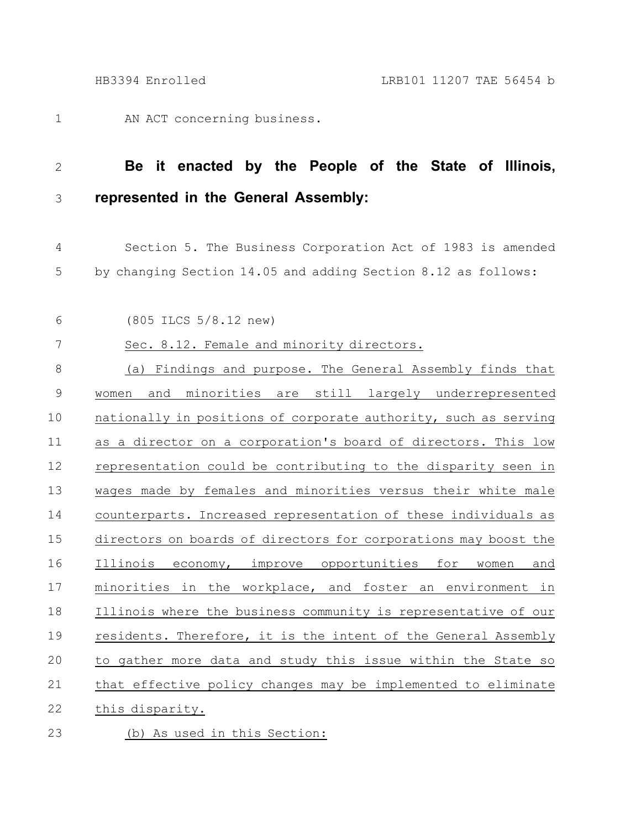AN ACT concerning business. 1

## **Be it enacted by the People of the State of Illinois, represented in the General Assembly:** 2 3

Section 5. The Business Corporation Act of 1983 is amended by changing Section 14.05 and adding Section 8.12 as follows: 4 5

(805 ILCS 5/8.12 new) 6

## Sec. 8.12. Female and minority directors. 7

(a) Findings and purpose. The General Assembly finds that women and minorities are still largely underrepresented nationally in positions of corporate authority, such as serving as a director on a corporation's board of directors. This low representation could be contributing to the disparity seen in wages made by females and minorities versus their white male counterparts. Increased representation of these individuals as directors on boards of directors for corporations may boost the Illinois economy, improve opportunities for women and minorities in the workplace, and foster an environment in Illinois where the business community is representative of our residents. Therefore, it is the intent of the General Assembly to gather more data and study this issue within the State so that effective policy changes may be implemented to eliminate this disparity. 8 9 10 11 12 13 14 15 16 17 18 19 20 21 22

(b) As used in this Section: 23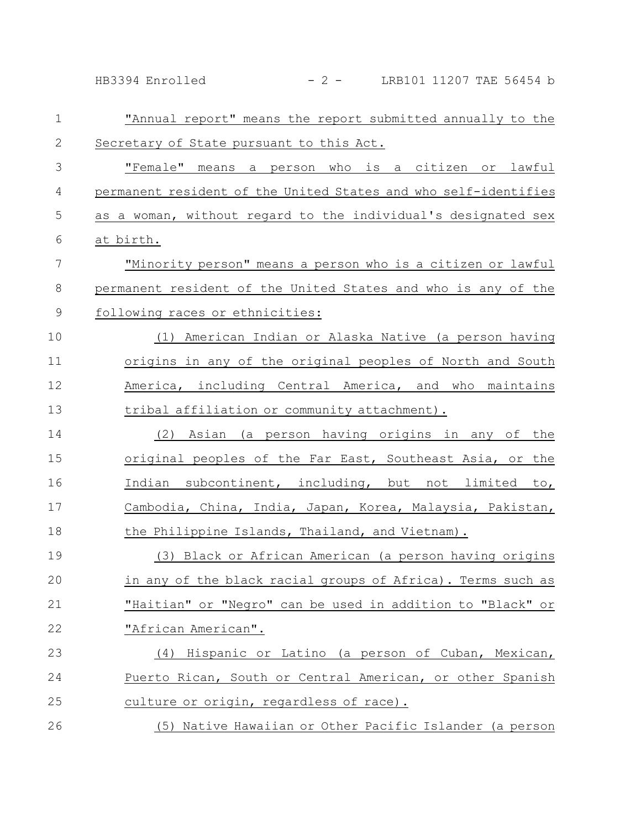HB3394 Enrolled - 2 - LRB101 11207 TAE 56454 b

| $\mathbf 1$   | "Annual report" means the report submitted annually to the      |
|---------------|-----------------------------------------------------------------|
| $\mathbf{2}$  | Secretary of State pursuant to this Act.                        |
| 3             | "Female" means a person who is a citizen or lawful              |
| 4             | permanent resident of the United States and who self-identifies |
| 5             | as a woman, without regard to the individual's designated sex   |
| 6             | at birth.                                                       |
| 7             | "Minority person" means a person who is a citizen or lawful     |
| $\,8\,$       | permanent resident of the United States and who is any of the   |
| $\mathcal{G}$ | following races or ethnicities:                                 |
| 10            | (1) American Indian or Alaska Native (a person having           |
| 11            | origins in any of the original peoples of North and South       |
| 12            | America, including Central America, and who maintains           |
| 13            | tribal affiliation or community attachment).                    |
| 14            | Asian (a person having origins in any of the<br>(2)             |
| 15            | original peoples of the Far East, Southeast Asia, or the        |
| 16            | Indian subcontinent, including, but not limited to,             |
| 17            | Cambodia, China, India, Japan, Korea, Malaysia, Pakistan,       |
| 18            | the Philippine Islands, Thailand, and Vietnam).                 |
| 19            | (3) Black or African American (a person having origins          |
| 20            | in any of the black racial groups of Africa). Terms such as     |
| 21            | "Haitian" or "Negro" can be used in addition to "Black" or      |
| 22            | "African American".                                             |
| 23            | (4) Hispanic or Latino (a person of Cuban, Mexican,             |
| 24            | Puerto Rican, South or Central American, or other Spanish       |
| 25            | culture or origin, regardless of race).                         |
| 26            | (5) Native Hawaiian or Other Pacific Islander (a person         |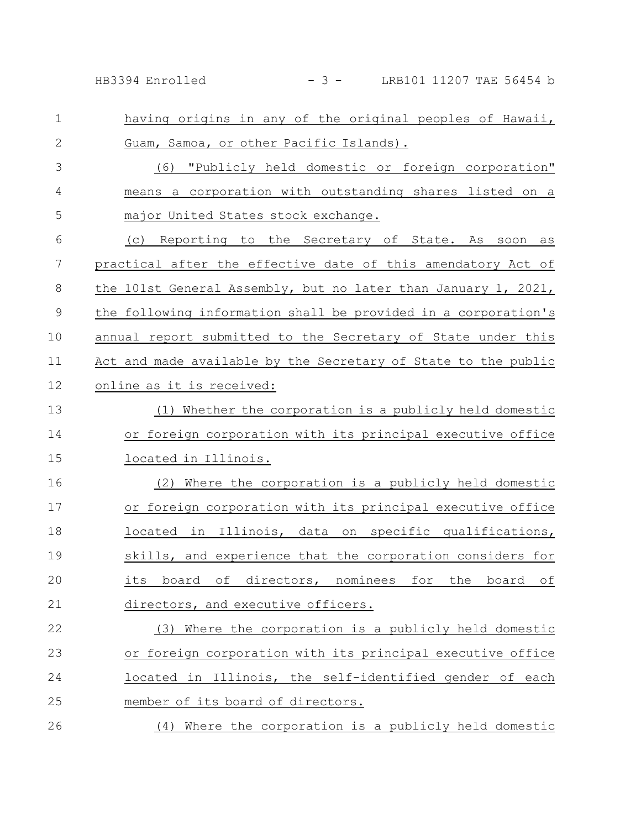HB3394 Enrolled - 3 - LRB101 11207 TAE 56454 b

| $\mathbf 1$  | having origins in any of the original peoples of Hawaii,       |
|--------------|----------------------------------------------------------------|
| $\mathbf{2}$ | Guam, Samoa, or other Pacific Islands).                        |
| 3            | (6) "Publicly held domestic or foreign corporation"            |
| 4            | means a corporation with outstanding shares listed on a        |
| 5            | major United States stock exchange.                            |
| 6            | Reporting to the Secretary of State. As<br>(C)<br>soon<br>as   |
| 7            | practical after the effective date of this amendatory Act of   |
| 8            | the 101st General Assembly, but no later than January 1, 2021, |
| 9            | the following information shall be provided in a corporation's |
| 10           | annual report submitted to the Secretary of State under this   |
| 11           | Act and made available by the Secretary of State to the public |
| 12           | online as it is received:                                      |
| 13           | (1) Whether the corporation is a publicly held domestic        |
| 14           | or foreign corporation with its principal executive office     |
| 15           | located in Illinois.                                           |
| 16           | Where the corporation is a publicly held domestic<br>(2)       |
| 17           | or foreign corporation with its principal executive office     |
| 18           | located in Illinois, data on specific qualifications,          |
| 19           | skills, and experience that the corporation considers for      |
| 20           | its board of directors, nominees for the board of              |
| 21           | directors, and executive officers.                             |
| 22           | (3) Where the corporation is a publicly held domestic          |
| 23           | or foreign corporation with its principal executive office     |
| 24           | located in Illinois, the self-identified gender of each        |
| 25           | member of its board of directors.                              |
| 26           | (4) Where the corporation is a publicly held domestic          |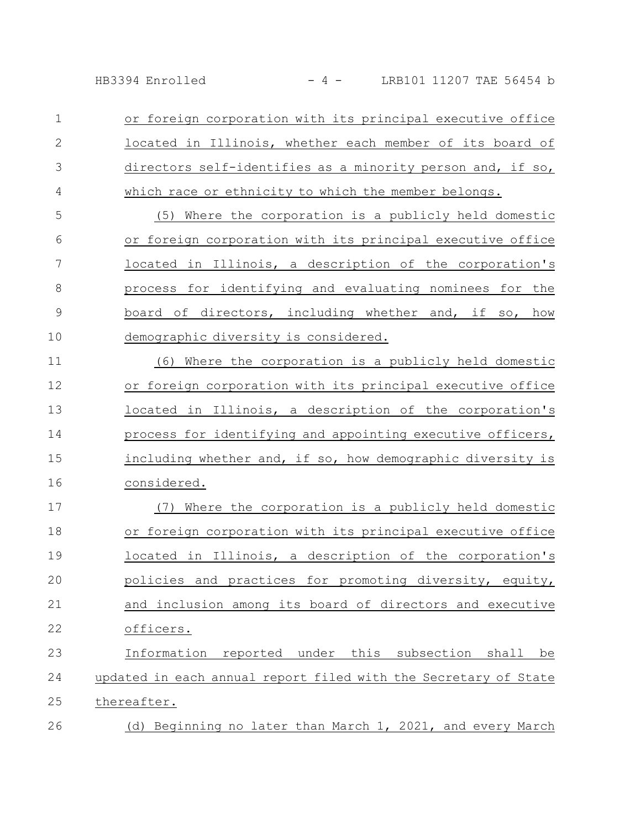HB3394 Enrolled - 4 - LRB101 11207 TAE 56454 b

or foreign corporation with its principal executive office located in Illinois, whether each member of its board of directors self-identifies as a minority person and, if so, which race or ethnicity to which the member belongs. 1 2 3 4

(5) Where the corporation is a publicly held domestic or foreign corporation with its principal executive office located in Illinois, a description of the corporation's process for identifying and evaluating nominees for the board of directors, including whether and, if so, how demographic diversity is considered. 5 6 7 8 9 10

(6) Where the corporation is a publicly held domestic or foreign corporation with its principal executive office located in Illinois, a description of the corporation's process for identifying and appointing executive officers, including whether and, if so, how demographic diversity is considered. 11 12 13 14 15 16

(7) Where the corporation is a publicly held domestic or foreign corporation with its principal executive office located in Illinois, a description of the corporation's policies and practices for promoting diversity, equity, and inclusion among its board of directors and executive officers. Information reported under this subsection shall be updated in each annual report filed with the Secretary of State 17 18 19 20 21 22 23 24

thereafter. 25

(d) Beginning no later than March 1, 2021, and every March 26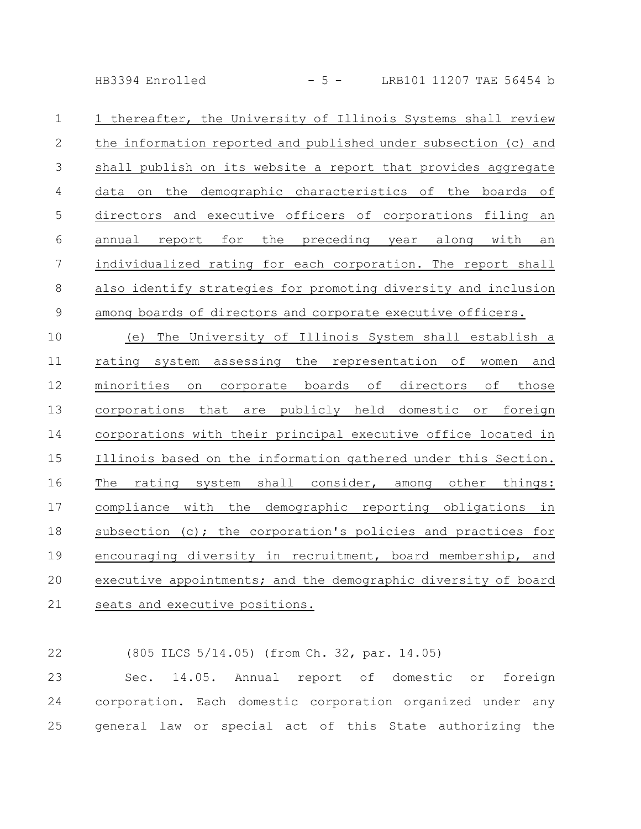HB3394 Enrolled - 5 - LRB101 11207 TAE 56454 b

| $\mathbf 1$ | 1 thereafter, the University of Illinois Systems shall review   |
|-------------|-----------------------------------------------------------------|
| 2           | the information reported and published under subsection (c) and |
| 3           | shall publish on its website a report that provides aggregate   |
| 4           | data on the demographic characteristics of the boards of        |
| 5           | directors and executive officers of corporations filing an      |
| 6           | annual report for the preceding year along with<br>an           |
| 7           | individualized rating for each corporation. The report shall    |
| 8           | also identify strategies for promoting diversity and inclusion  |
| 9           | among boards of directors and corporate executive officers.     |

(e) The University of Illinois System shall establish a rating system assessing the representation of women and minorities on corporate boards of directors of those corporations that are publicly held domestic or foreign corporations with their principal executive office located in Illinois based on the information gathered under this Section. The rating system shall consider, among other things: compliance with the demographic reporting obligations in subsection (c); the corporation's policies and practices for encouraging diversity in recruitment, board membership, and executive appointments; and the demographic diversity of board seats and executive positions. 10 11 12 13 14 15 16 17 18 19 20 21

(805 ILCS 5/14.05) (from Ch. 32, par. 14.05) 22

Sec. 14.05. Annual report of domestic or foreign corporation. Each domestic corporation organized under any general law or special act of this State authorizing the 23 24 25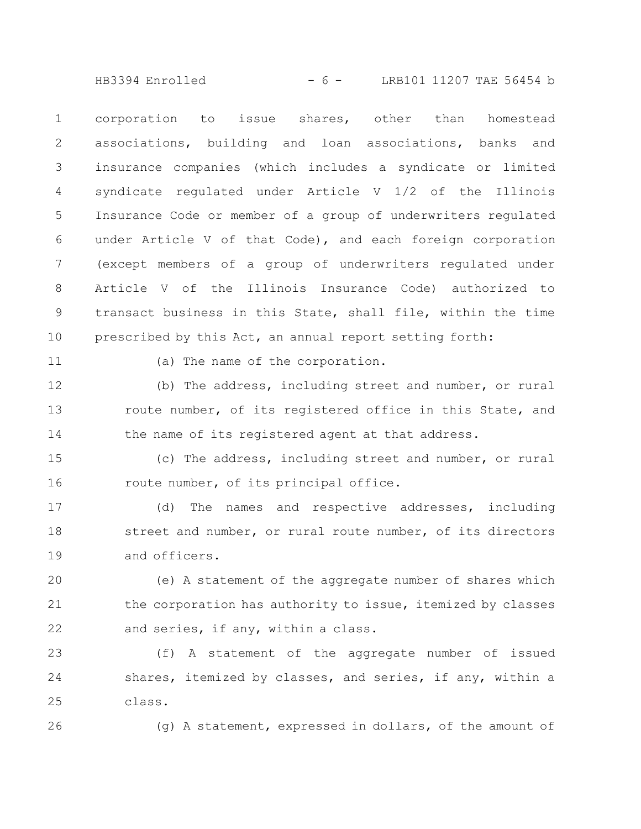$HB3394$  Enrolled  $-6 -$  LRB101 11207 TAE 56454 b

corporation to issue shares, other than homestead associations, building and loan associations, banks and insurance companies (which includes a syndicate or limited syndicate regulated under Article V 1/2 of the Illinois Insurance Code or member of a group of underwriters regulated under Article V of that Code), and each foreign corporation (except members of a group of underwriters regulated under Article V of the Illinois Insurance Code) authorized to transact business in this State, shall file, within the time prescribed by this Act, an annual report setting forth: 1 2 3 4 5 6 7 8 9 10

11

(a) The name of the corporation.

(b) The address, including street and number, or rural route number, of its registered office in this State, and the name of its registered agent at that address. 12 13 14

(c) The address, including street and number, or rural route number, of its principal office. 15 16

(d) The names and respective addresses, including street and number, or rural route number, of its directors and officers. 17 18 19

(e) A statement of the aggregate number of shares which the corporation has authority to issue, itemized by classes and series, if any, within a class. 20 21 22

(f) A statement of the aggregate number of issued shares, itemized by classes, and series, if any, within a class. 23 24 25

26

(g) A statement, expressed in dollars, of the amount of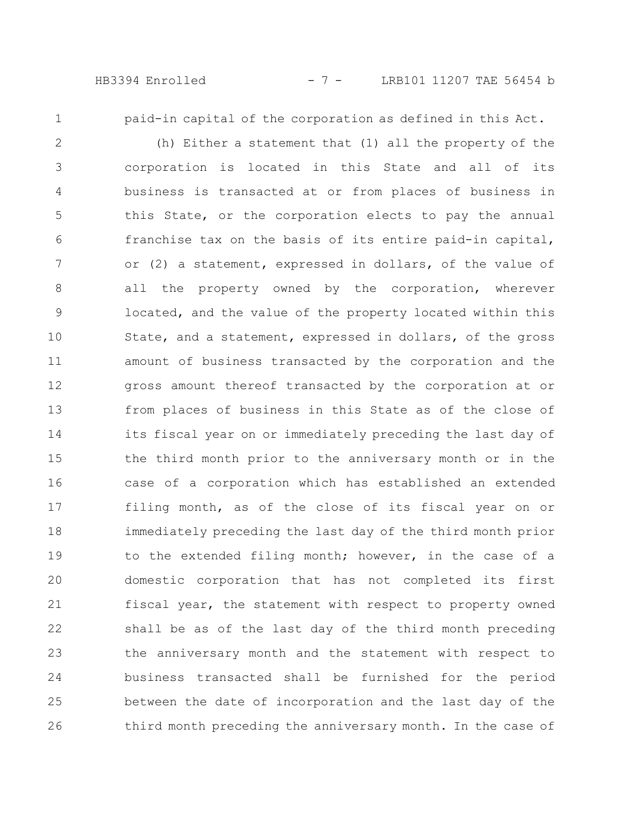HB3394 Enrolled - 7 - LRB101 11207 TAE 56454 b

1

paid-in capital of the corporation as defined in this Act.

(h) Either a statement that (1) all the property of the corporation is located in this State and all of its business is transacted at or from places of business in this State, or the corporation elects to pay the annual franchise tax on the basis of its entire paid-in capital, or (2) a statement, expressed in dollars, of the value of all the property owned by the corporation, wherever located, and the value of the property located within this State, and a statement, expressed in dollars, of the gross amount of business transacted by the corporation and the gross amount thereof transacted by the corporation at or from places of business in this State as of the close of its fiscal year on or immediately preceding the last day of the third month prior to the anniversary month or in the case of a corporation which has established an extended filing month, as of the close of its fiscal year on or immediately preceding the last day of the third month prior to the extended filing month; however, in the case of a domestic corporation that has not completed its first fiscal year, the statement with respect to property owned shall be as of the last day of the third month preceding the anniversary month and the statement with respect to business transacted shall be furnished for the period between the date of incorporation and the last day of the third month preceding the anniversary month. In the case of 2 3 4 5 6 7 8 9 10 11 12 13 14 15 16 17 18 19 20 21 22 23 24 25 26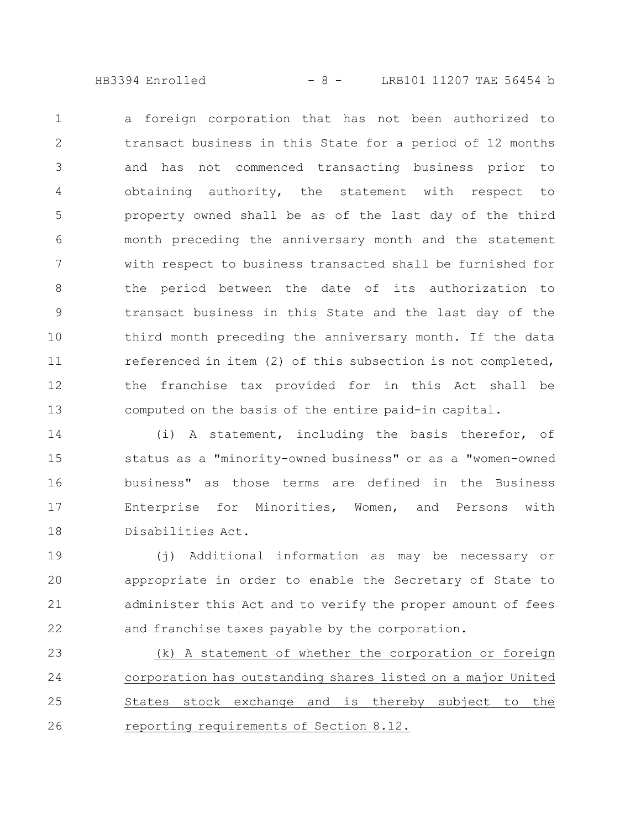HB3394 Enrolled - 8 - LRB101 11207 TAE 56454 b

a foreign corporation that has not been authorized to transact business in this State for a period of 12 months and has not commenced transacting business prior to obtaining authority, the statement with respect to property owned shall be as of the last day of the third month preceding the anniversary month and the statement with respect to business transacted shall be furnished for the period between the date of its authorization to transact business in this State and the last day of the third month preceding the anniversary month. If the data referenced in item (2) of this subsection is not completed, the franchise tax provided for in this Act shall be computed on the basis of the entire paid-in capital. 1 2 3 4 5 6 7 8 9 10 11 12 13

(i) A statement, including the basis therefor, of status as a "minority-owned business" or as a "women-owned business" as those terms are defined in the Business Enterprise for Minorities, Women, and Persons with Disabilities Act. 14 15 16 17 18

(j) Additional information as may be necessary or appropriate in order to enable the Secretary of State to administer this Act and to verify the proper amount of fees and franchise taxes payable by the corporation. 19 20 21 22

(k) A statement of whether the corporation or foreign corporation has outstanding shares listed on a major United States stock exchange and is thereby subject to the reporting requirements of Section 8.12. 23 24 25 26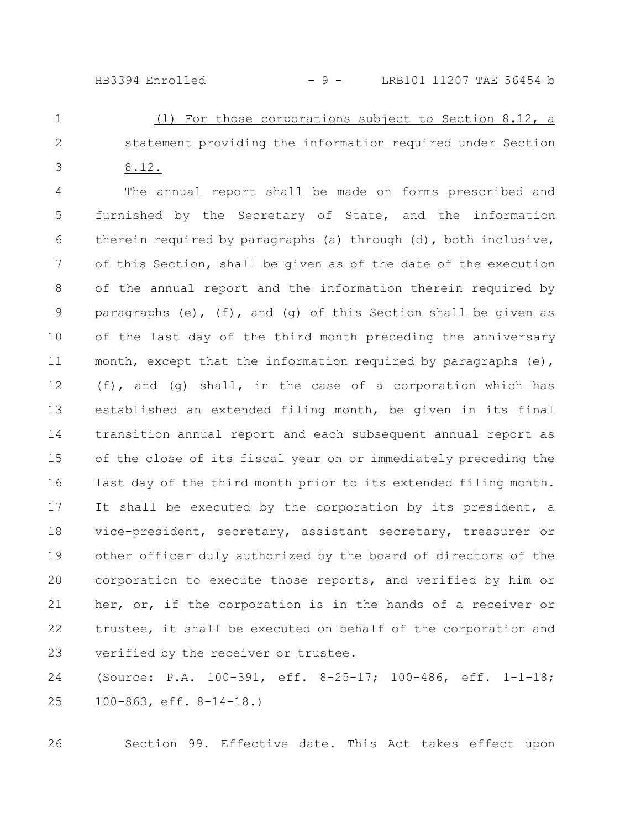## $HB3394$  Enrolled  $-9 - 100111207$  TAE 56454 b

(l) For those corporations subject to Section 8.12, a statement providing the information required under Section 8.12. 1 2 3

The annual report shall be made on forms prescribed and furnished by the Secretary of State, and the information therein required by paragraphs (a) through (d), both inclusive, of this Section, shall be given as of the date of the execution of the annual report and the information therein required by paragraphs (e), (f), and (q) of this Section shall be given as of the last day of the third month preceding the anniversary month, except that the information required by paragraphs  $(e)$ , (f), and (g) shall, in the case of a corporation which has established an extended filing month, be given in its final transition annual report and each subsequent annual report as of the close of its fiscal year on or immediately preceding the last day of the third month prior to its extended filing month. It shall be executed by the corporation by its president, a vice-president, secretary, assistant secretary, treasurer or other officer duly authorized by the board of directors of the corporation to execute those reports, and verified by him or her, or, if the corporation is in the hands of a receiver or trustee, it shall be executed on behalf of the corporation and verified by the receiver or trustee. 4 5 6 7 8 9 10 11 12 13 14 15 16 17 18 19 20 21 22 23

(Source: P.A. 100-391, eff. 8-25-17; 100-486, eff. 1-1-18; 100-863, eff. 8-14-18.) 24 25

26

Section 99. Effective date. This Act takes effect upon